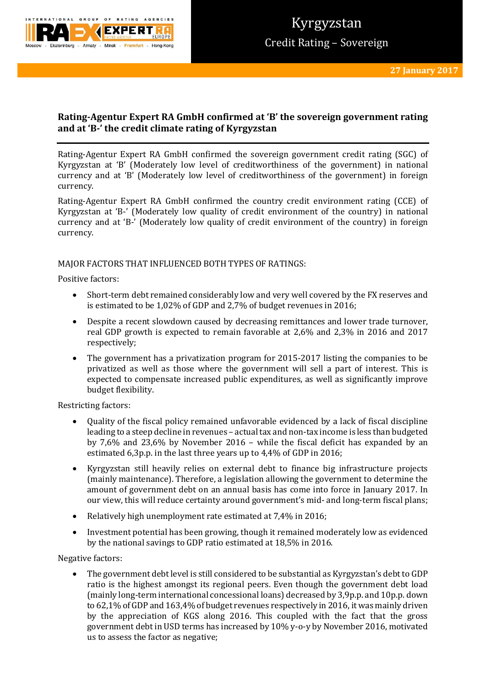

# **Rating-Agentur Expert RA GmbH confirmed at 'B' the sovereign government rating and at 'B-' the credit climate rating of Kyrgyzstan**

Rating-Agentur Expert RA GmbH confirmed the sovereign government credit rating (SGC) of Kyrgyzstan at 'B' (Moderately low level of creditworthiness of the government) in national currency and at 'B' (Moderately low level of creditworthiness of the government) in foreign currency.

Rating-Agentur Expert RA GmbH confirmed the country credit environment rating (CCE) of Kyrgyzstan at 'B-' (Moderately low quality of credit environment of the country) in national currency and at 'B-' (Moderately low quality of credit environment of the country) in foreign currency.

## MAJOR FACTORS THAT INFLUENCED BOTH TYPES OF RATINGS:

Positive factors:

- Short-term debt remained considerably low and very well covered by the FX reserves and is estimated to be 1,02% of GDP and 2,7% of budget revenues in 2016;
- Despite a recent slowdown caused by decreasing remittances and lower trade turnover, real GDP growth is expected to remain favorable at 2,6% and 2,3% in 2016 and 2017 respectively;
- The government has a privatization program for 2015-2017 listing the companies to be privatized as well as those where the government will sell a part of interest. This is expected to compensate increased public expenditures, as well as significantly improve budget flexibility.

Restricting factors:

- Quality of the fiscal policy remained unfavorable evidenced by a lack of fiscal discipline leading to a steep decline in revenues – actual tax and non-tax income is less than budgeted by 7,6% and 23,6% by November 2016 – while the fiscal deficit has expanded by an estimated 6,3p.p. in the last three years up to 4,4% of GDP in 2016;
- Kyrgyzstan still heavily relies on external debt to finance big infrastructure projects (mainly maintenance). Therefore, a legislation allowing the government to determine the amount of government debt on an annual basis has come into force in January 2017. In our view, this will reduce certainty around government's mid- and long-term fiscal plans;
- Relatively high unemployment rate estimated at 7,4% in 2016;
- Investment potential has been growing, though it remained moderately low as evidenced by the national savings to GDP ratio estimated at 18,5% in 2016.

Negative factors:

 The government debt level is still considered to be substantial as Kyrgyzstan's debt to GDP ratio is the highest amongst its regional peers. Even though the government debt load (mainly long-term international concessional loans) decreased by 3,9p.p. and 10p.p. down to 62,1% of GDP and 163,4% of budget revenues respectively in 2016, it was mainly driven by the appreciation of KGS along 2016. This coupled with the fact that the gross government debt in USD terms has increased by 10% y-o-y by November 2016, motivated us to assess the factor as negative;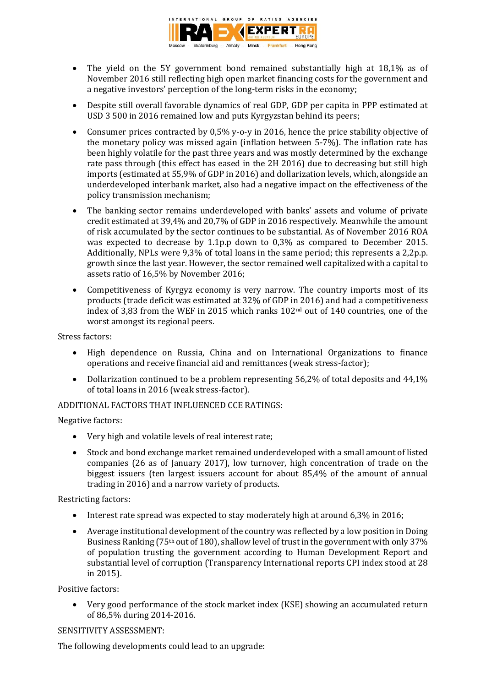

- The yield on the 5Y government bond remained substantially high at 18,1% as of November 2016 still reflecting high open market financing costs for the government and a negative investors' perception of the long-term risks in the economy;
- Despite still overall favorable dynamics of real GDP, GDP per capita in PPP estimated at USD 3 500 in 2016 remained low and puts Kyrgyzstan behind its peers;
- Consumer prices contracted by 0,5% y-o-y in 2016, hence the price stability objective of the monetary policy was missed again (inflation between 5-7%). The inflation rate has been highly volatile for the past three years and was mostly determined by the exchange rate pass through (this effect has eased in the 2H 2016) due to decreasing but still high imports (estimated at 55,9% of GDP in 2016) and dollarization levels, which, alongside an underdeveloped interbank market, also had a negative impact on the effectiveness of the policy transmission mechanism;
- The banking sector remains underdeveloped with banks' assets and volume of private credit estimated at 39,4% and 20,7% of GDP in 2016 respectively. Meanwhile the amount of risk accumulated by the sector continues to be substantial. As of November 2016 ROA was expected to decrease by 1.1p.p down to 0,3% as compared to December 2015. Additionally, NPLs were 9,3% of total loans in the same period; this represents a 2,2p.p. growth since the last year. However, the sector remained well capitalized with a capital to assets ratio of 16,5% by November 2016;
- Competitiveness of Kyrgyz economy is very narrow. The country imports most of its products (trade deficit was estimated at 32% of GDP in 2016) and had a competitiveness index of 3,83 from the WEF in 2015 which ranks 102nd out of 140 countries, one of the worst amongst its regional peers.

Stress factors:

- High dependence on Russia, China and on International Organizations to finance operations and receive financial aid and remittances (weak stress-factor);
- Dollarization continued to be a problem representing 56,2% of total deposits and 44,1% of total loans in 2016 (weak stress-factor).

# ADDITIONAL FACTORS THAT INFLUENCED CCE RATINGS:

Negative factors:

- Very high and volatile levels of real interest rate;
- Stock and bond exchange market remained underdeveloped with a small amount of listed companies (26 as of January 2017), low turnover, high concentration of trade on the biggest issuers (ten largest issuers account for about 85,4% of the amount of annual trading in 2016) and a narrow variety of products.

Restricting factors:

- Interest rate spread was expected to stay moderately high at around 6,3% in 2016;
- Average institutional development of the country was reflected by a low position in Doing Business Ranking (75<sup>th</sup> out of 180), shallow level of trust in the government with only 37% of population trusting the government according to Human Development Report and substantial level of corruption (Transparency International reports CPI index stood at 28 in 2015).

Positive factors:

 Very good performance of the stock market index (KSE) showing an accumulated return of 86,5% during 2014-2016.

## SENSITIVITY ASSESSMENT:

The following developments could lead to an upgrade: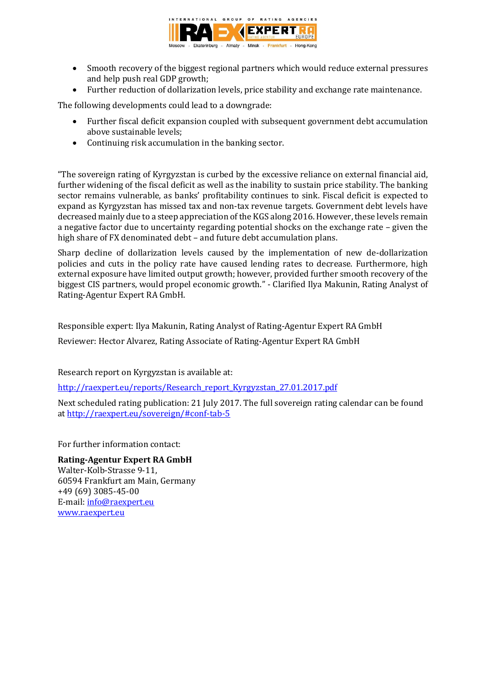

- Smooth recovery of the biggest regional partners which would reduce external pressures and help push real GDP growth;
- Further reduction of dollarization levels, price stability and exchange rate maintenance.

The following developments could lead to a downgrade:

- Further fiscal deficit expansion coupled with subsequent government debt accumulation above sustainable levels;
- Continuing risk accumulation in the banking sector.

"The sovereign rating of Kyrgyzstan is curbed by the excessive reliance on external financial aid, further widening of the fiscal deficit as well as the inability to sustain price stability. The banking sector remains vulnerable, as banks' profitability continues to sink. Fiscal deficit is expected to expand as Kyrgyzstan has missed tax and non-tax revenue targets. Government debt levels have decreased mainly due to a steep appreciation of the KGS along 2016. However, these levels remain a negative factor due to uncertainty regarding potential shocks on the exchange rate – given the high share of FX denominated debt – and future debt accumulation plans.

Sharp decline of dollarization levels caused by the implementation of new de-dollarization policies and cuts in the policy rate have caused lending rates to decrease. Furthermore, high external exposure have limited output growth; however, provided further smooth recovery of the biggest CIS partners, would propel economic growth." - Clarified Ilya Makunin, Rating Analyst of Rating-Agentur Expert RA GmbH.

Responsible expert: Ilya Makunin, Rating Analyst of Rating-Agentur Expert RA GmbH

Reviewer: Hector Alvarez, Rating Associate of Rating-Agentur Expert RA GmbH

Research report on Kyrgyzstan is available at:

http://raexpert.eu/reports/Research\_report\_Kyrgyzstan\_27.01.2017.pdf

Next scheduled rating publication: 21 July 2017. The full sovereign rating calendar can be found at<http://raexpert.eu/sovereign/#conf-tab-5>

For further information contact:

## **Rating-Agentur Expert RA GmbH** Walter-Kolb-Strasse 9-11,

60594 Frankfurt am Main, Germany +49 (69) 3085-45-00 E-mail[: info@raexpert.eu](mailto:info@raexpert.eu) [www.raexpert.eu](http://raexpert.eu/)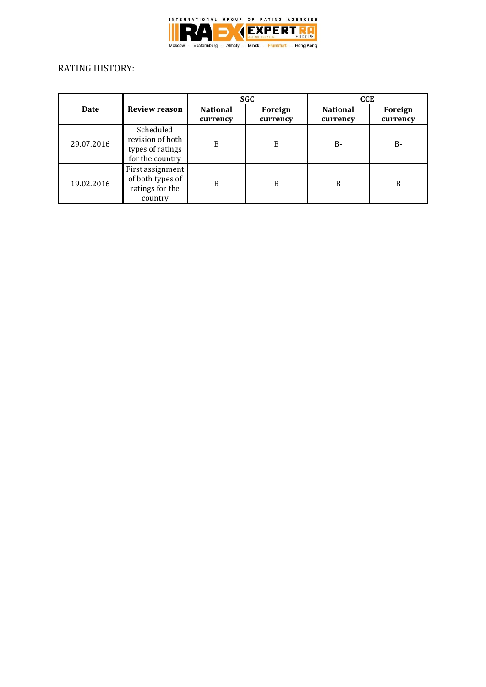

# RATING HISTORY:

|            |                                                                      | <b>SGC</b>                  |                     | <b>CCE</b>                  |                     |
|------------|----------------------------------------------------------------------|-----------------------------|---------------------|-----------------------------|---------------------|
| Date       | <b>Review reason</b>                                                 | <b>National</b><br>currency | Foreign<br>currency | <b>National</b><br>currency | Foreign<br>currency |
| 29.07.2016 | Scheduled<br>revision of both<br>types of ratings<br>for the country | B                           | B                   | $B -$                       | B-                  |
| 19.02.2016 | First assignment<br>of both types of<br>ratings for the<br>country   | B                           | B                   | B                           | B                   |